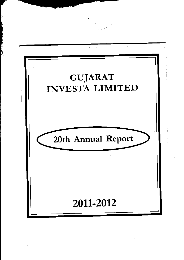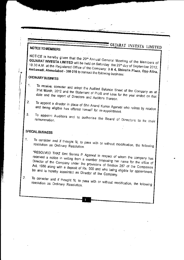### **NOTICE TO MEMBERS**

### NOTICE is hereby given that the 20<sup>th</sup> Annual General Meeting of the Members of GUJARAT INVESTA LIMITED will be held on Saturday the 29<sup>th</sup> day of September 2012, 10.30 A.M. at the Registered Office of the Company: 3 & 4, Shivalik Plaza, Opp Atira, Ambawadi, Ahmedabad - 380 015 to transact the following business:

GUJARAT INVESTA LIMITED

### **ORDINARY BUSINESS**

- To receive, consider and adopt the Audited Balance Sheet of the Company as at  $1<sub>1</sub>$ 31st March, 2012 and the Statement of Profit and Loss for the year ended on that date and the report of Directors and Auditors thereon.
- To appoint a director in place of Shri Anand Kumar Agarwal who retires by rotation  $2<sub>1</sub>$ and being eligible has offered himself for re-appointment.
- To appoint Auditors and to authorise the Board of Directors to fix their 3.

### SPECIAL BUSINESS

- To consider and if thought fit, to pass with or without modification, the following  $1<sub>1</sub>$ resolution as Ordinary Resolution.
	- "RESOLVED THAT Smt Somna P. Agarwal in respect of whom the company has received a notice in writing from a member proposing her name for the office of Director of the Company under the provisions of Section 257 of the Companies Act, 1956 along with a deposit of Rs. 500 and who being eligible for appointment, be and is hereby appointed as Director of the Company.
- To consider and if thought fit, to pass with or without modification, the following  $2.$ resolution as Ordinary Resolution.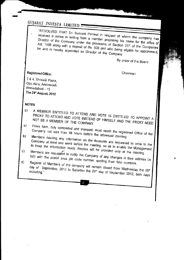"RESOLVED THAT Sri Sumant Periwal in respect of whom the company has received a notice in writing from a member proposing his name for the office of Director of the Company under the provisions of Section 257 of the Companies Act, 1956 along with a deposit of Rs. 500 and who being eligible for appointment, be and is hereby appointed as Director of the Company

By order of the Board

### Registered Office:

Chairman

3 & 4, Shivalik Plaza, Opp Atira, Ambawadi, Ahmedabad - 15 The 24th August, 2012

#### **NOTES**

- A MEMBER ENTITLED TO ATTEND AND VOTE IS ENTITLED TO APPOINT A a) PROXY TO ATTEND AND VOTE INSTEAD OF HIMSELF AND THE PROXY NEED NOT BE A MEMBER OF THE COMPANY.
- Proxy form, duly completed and stamped, must reach the registered Office of the  $a)$ Company not less than 48 hours before the aforesaid meeting.
- Members desiring any information on the Accounts are requested to write to the  $b)$ Company at least one week before the meeting, so as to enable the Management to keep the information ready. Replies will be provided only at the meeting.
- Members are requested to notify the Company of any changes in their address (in  $\mathsf{c}$
- full) with the postal area pin code number, quoting their folio numbers. Register of Members of the company will remain closed from Wednesday the 26th  $d)$

day of September, 2012 to Saturday the 29th day of September 2012, both days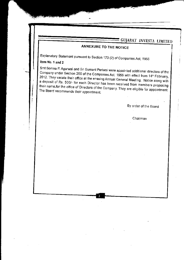### **ANNEXURE TO THE NOTICE**

Explanatory Statement pursuant to Section 173 (2) of Companies Act, 1956

### Item No. 1 and 2

Smt Somna P. Agarwal and Sri Sumant Periwal were appointed additional directors of the Company under Section 260 of the Companies Act, 1956 with effect from 14<sup>th</sup> February, 2012. They vacate their office at the ensuing Annual General Meeting. Notice along with a deposit of Rs. 500/- for each Director has been received from members proposing their name for the office of Directors of the Company. They are eligible for appointment. The Board recommends their appointment.

By order of the Board

Chairman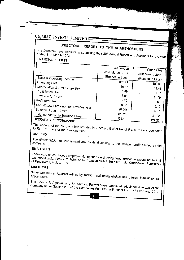# DIRECTORS' REPORT TO THE SHAREHOLDERS

The Directors have pleasure in submitting their 20<sup>th</sup> Annual Report and Accounts for the year

### **FINANCIAL RESULTS**

|                                          | Year ended       | Year ended       |
|------------------------------------------|------------------|------------------|
|                                          | 31st March, 2012 | 31st March, 2011 |
| Sales & Operating Income                 | (Rupees in Lacs) | (Rupees in Lacs) |
| Operating Profit                         | 862.21           | 809.63           |
| Depreciation & Preliminary Exp.          | 10.47            | 13.46            |
| Profit Before Tax                        | 1.49             | 1.67             |
| Provision for Taxes                      | 8.98             | 11.79            |
| Profit after Tax                         | 2.76             | 3.60             |
| Short/Excess provision for previous year | 6.22             | 8.19             |
| Balance Brought Down                     | (0.04)           | 0.01             |
| Balance carried to Balance Sheet         | 129.23           | 121.02           |
| <b>PERATING PERFORMANCE</b>              | 135.40           | 129.23           |

#### **RFURMANCE**

The working of the company has resulted in a net profit after tax of Rs. 6.22 Lacs compared

### **DIVIDEND**

The directors to not recommend any dividend looking to the meager profit earned by the company.

### EMPLOYEES

There were no employees employed during the year drawing remuneration in excess of the limit prescribed under Section 217(2A) of the Companies Act, 1956 read with Companies (Particulars

### **DIRECTORS**

Sri Anand Kumar Agarwal retires by rotation and being eligible has offered himself for re-

Smt Somna P. Agarwal and Sri Sumant Periwal were appointed additional directors of the Company under Section 260 of the Companies Act, 1956 with effect from 14th February, 2012.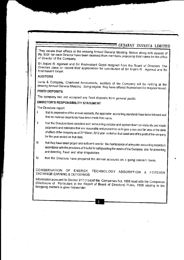They vacate their offices at the ensuing Annual General Meeting. Notice along with deposit of Rs. 500/- for each Director have been received from members proposing their name for the office of Director of the Company.

Sri Anjani R. Agarwal and Sri Krishnakant Goyal resigned from the Board of Directors. The Directors place on record their appreciation for contribution of Sri Anjani R. Agarwal and Sri Krishnakant Goval.

#### **AUDITORS**

Lunia & Company, Chartered Accountants, auditors of the Company will be retiring at the ensuing Annual General Meeting. Being eligible, they have offered themselves for reappointment.

#### **FIXED DEPOSITS**

The company has not accepted any fixed deposits from general public.

### **DIRECTOR'S RESPONSIBILITY STATEMENT**

The Directors report:

- that in preparation of the annual accounts, the applicable accounting standards have been followed and  $\mathbf{I}$ that no material departures have been made from same.
- that the Directors have selected such accounting policies and applied them consistently and made  $\mathbf{I}$ judgments and estimates that are reasonable and prudent so as to give a true and fair view of the state of affairs of the company as at 31<sup>st</sup> March, 2012 year ended on that dated and of the profit of the company for the year ended on that date;
- that they have taken proper and sufficient care for the maintenance of adequate accounting records in  $III.$ accordance with the provisions of this Act for safeguarding the assets of the Company and for preventing and detecting fraud and other irregularities;
- that the Directors have prepared the annual accounts on a going concern basis. IV.

#### CONSERVATION OF ENERGY, TECHNOLOGY ABSORPTION & FOREIGN **EXCHANGE EARNING & OUTGOINGS**

Information pursuant to Section 217 (1)(e)of the Companies Act, 1956 read with the Companies (Disclosure of Particulars in the Report of Board of Directors) Rules, 1988 relating to the foregoing matters is given hereunder.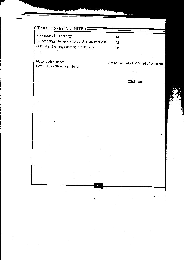| a) Conservation of energy                        | Nii |
|--------------------------------------------------|-----|
| b) Technology absorption, research & development | Nil |
| c) Foreign Exchange earning & outgoings          | Nil |

6

Place : Ahmedabad Dated : the 24th August, 2012

For and on behalf of Board of Directors

 $Sd$ 

(Chairman)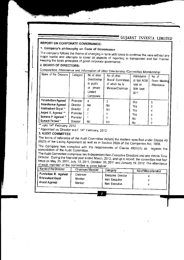### **REPORT ON CORPORATE GOVERNANCE:**

### 1. Company's philosophy on Code of Governance

The company follows the theme of changing in tune with times to continue the race without any major hurdle and attempts to cover all aspects of reporting in transparent and fair manner keeping the basic principles of good corporate governance.

### 2. BOARD OF DIRECTORS:

Composition, Attendance and Information of other Directorship /Committee Membership:

| Name of the Directors | Category | No of other<br>Directorship<br>in public<br>private<br>or<br>Limited<br>Companies | No of other<br>Board/ Committees<br>of which he is<br>Member/Chairman | Attendance<br>at last AGM<br>held on<br>30th Sept.<br>2011 | No. of<br>Board Meeting<br>Attendance |
|-----------------------|----------|-----------------------------------------------------------------------------------|-----------------------------------------------------------------------|------------------------------------------------------------|---------------------------------------|
| Purushottam Agarwal   | Promoter | 4                                                                                 |                                                                       | Yes                                                        |                                       |
| Anandkumar Agarwal    | Director | Nil                                                                               | Nil                                                                   | Yes                                                        |                                       |
| Krishnakant Goyal **  | Director | 2                                                                                 | Nil                                                                   | Yes                                                        |                                       |
| Anjani R. Agarwal **  | Promoter |                                                                                   |                                                                       |                                                            | 4                                     |
| Somana P. Agarwal *   | Promoter |                                                                                   |                                                                       | Yes                                                        | 4                                     |
| Sumant Periwal*       | Director | Nil                                                                               | Nil                                                                   | No<br>Nο                                                   |                                       |

upto 14<sup>th</sup> February, 2012

\* Appointed as Director w.e.f. 14<sup>th</sup> February, 2012

#### 3. AUDIT COMMITTEE

The terms of reference of the Audit Committee include the matters specified under Clause 49 (II)(D) of the Listing Agreement as well as in Section 292A of the Companies Act, 1956.

The Company has complied with the requirements of Clause 49(II)(A) as regards the composition of the Audit Committee.

The Audit Committee comprises two Independent Non-Executive Directors and one Whole Time Director. During the financial year ended March, 2012, and up to report, the committee met four times on May, 25, 2011, July, 13, 2011, October 26, 2011 and January 19, 2012. The attendance of each member of the committee is given below:

| Name of the Director  | Chairman/Member | Category           | No of Mtgs attended |
|-----------------------|-----------------|--------------------|---------------------|
| Purshottam R. Agarwal | Chairman        | Executive Director |                     |
| Krishnakant Goyal     | Member          | Non Executive      |                     |
| Anand Agarwal         | Member          | Non Executive      |                     |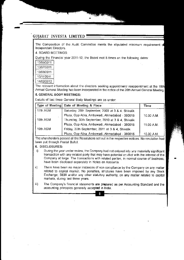The Composition of the Audit Committee meets the stipulated minimum requirement of lndependent Directors

4. BOARD MEETINGS:

During the Financial year 2011-12, the Board met 5 times on the following dates:

| 13/05/2011 |
|------------|
| 13/07/2011 |
| 13/08/2011 |
| 15/11/2011 |
| 14/02/2012 |
|            |

r an Children

i

I

The relevant information about the directors seeking appointment/ reappointment at the 19th Annual General Meeting has been incorporated in the notice of the 20th Annual General Meeting.

#### 5. GENERAL BODY MEETINGS:

Details of last three General Body Meetings are as under:

|          | Type of Meeting   Date of Meeting & Place         | Time       |
|----------|---------------------------------------------------|------------|
| 17th AGM | Saturday, 26th September, 2009 at 3 & 4, Shivalik |            |
|          | Plaza, Opp Atira, Ambawadi, Ahmedabad - 380015    | 10.30 A.M. |
| 18th AGM | Thursday, 30th September, 2010 at 3 & 4, Shivalik |            |
|          | Plaza, Opp Atira, Ambawadi, Ahmedabad - 380015    | 11.00 A.M. |
| 19th AGM | Friday, 30th September, 2011 at 3 & 4, Shivalik   |            |
|          | Plaza, Opp Atira, Ambawadi, Ahmedabad - 380015    | 10.30 A.M. |

The shareholders passed all the Resolutions set out in the respective notices. No resolution had been put through Postal Ballot

#### 6. DISCLOSURES:

- i) During the year under review, the Company had not entered into any materially significant transaction with any related party that may have potential ccaflict with the interest of the Company al large The transactions with related parties, in normal.course of business, have been disclosed separately in Notes on Accounts.
- ii) There have been no major instances of non compliance by the Company on any matter related to capital market. No penalties, strictures have been imposed by any Stock Exchange, SEBI and/or any other statutory authority, on any matter related to capital rnarkets, during last three years.
- iii) The Company's financial statements are prepared as per Accounting Standard and the accounting principles generally accepted in India.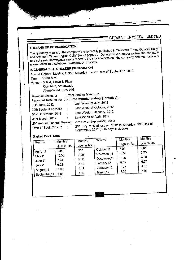### 7. MEANS OF COMMUNICATION:

The quarterly results of the company are generally published in "Western Times Gujarati Daily" and "Western Times English Daily" (news papers). During the year under review, the company had not sent quarterly/half yearly report to the shareholders and the company had not made any presentation to institutional investors or analysts.

## 8. GENERAL SHAREHOLDER INFORMATION

Annual General Meeting Date: Saturday, the 29<sup>th</sup> day of September, 2012

Time : 10.30 A.M.

Venue : 3 & 4, Shivalik Plaza,

Opp Atira, Ambawadi,

Ahmedabad - 380 015

: Year ending March, 31. **Financial Calendar** 

| Financial Calendar                          | $\sim$ 1991 – $\sim$ $\sim$ |                                                                                             |
|---------------------------------------------|-----------------------------|---------------------------------------------------------------------------------------------|
|                                             |                             | Financial Results for the three months ending (Tentative):                                  |
| 30th June, 2012                             |                             | Last Week of July, 2012<br>Last Week of October, 2012                                       |
| 30th September, 2012<br>31st December, 2012 |                             | Last Week of January, 2012                                                                  |
| 31st March, 2012                            |                             | Last Week of April, 2012<br>20th Annual General Meeting : 29th day of September, 2012       |
| Date of Book Closure                        |                             | 26th day of Wednesday 2012 to Saturday 29th Day of<br>September, 2012 (both days inclusive) |

#### Market Price Data

| Month's<br><b>Months</b><br>Low in Rs.<br>High in Rs.       | Month's | Month's | <b>Months</b> |            |             |  |
|-------------------------------------------------------------|---------|---------|---------------|------------|-------------|--|
|                                                             |         |         |               | Month's    |             |  |
|                                                             |         |         |               | Low in Rs. | High in Rs. |  |
| 3.94<br>5.01<br>October, 11<br>6.21                         |         |         |               |            |             |  |
| 8.45<br>April, 11<br>3.76<br>4.79<br>November <sub>11</sub> |         |         |               |            |             |  |
| 7.26<br>10.30<br>May, 11<br>4.39                            |         |         |               |            |             |  |
| 7.05<br>December, 11<br>5.36<br>7.24<br>June, 11            |         |         |               |            |             |  |
| 6.97<br>8.45<br>January, 12<br>5.12<br>6.02                 |         |         |               |            |             |  |
| July, 11<br>4.99<br>8.75<br>February, 12                    |         |         |               |            |             |  |
| 4.11<br>5.93<br>August 11<br>5.01<br>7.36                   |         |         |               |            |             |  |
| March, 12<br>4.10<br>4.51<br>September, 11                  |         |         |               |            |             |  |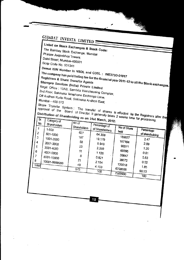| GUJARAT INVESTA LIMITED                                                                                                                                                                                                                                                                                                                                                                                                                                                                                                                                                                                                                                                                                                                                                                                                                                                                                                                                                                                            |                                                                                         |                                                                                                                          |                                                                                                             |                                                                                                             |  |
|--------------------------------------------------------------------------------------------------------------------------------------------------------------------------------------------------------------------------------------------------------------------------------------------------------------------------------------------------------------------------------------------------------------------------------------------------------------------------------------------------------------------------------------------------------------------------------------------------------------------------------------------------------------------------------------------------------------------------------------------------------------------------------------------------------------------------------------------------------------------------------------------------------------------------------------------------------------------------------------------------------------------|-----------------------------------------------------------------------------------------|--------------------------------------------------------------------------------------------------------------------------|-------------------------------------------------------------------------------------------------------------|-------------------------------------------------------------------------------------------------------------|--|
| Listed on Stock Exchanges & Stock Code:<br>The Bombay Stock Exchange, Mumbai<br>Phiroze Jeejeebhoy Towers,<br>Dalal Street, Mumbai-400001<br>Scrip Code No. 531341<br>Demat ISIN Number in NSDL and CDSL: INE373D-01017<br>The company has paid listing fee for the financial year 2011-12 to all the Stock exchanges.<br>Registrars & Share Transfer Agents<br>Sharepro Services (India) Private Limited<br>Regd. Office: 13AB, Samhita Warehousing Complex,<br>2nd Floor, Sakinaka Telephone Exchange Lane,<br>Off Andheri Kurla Road, Sakinaka Andheri East,<br>Mumbai - 400 072<br>Share Transfer System: The transfer of shares is effected by the Registrars after the<br>approval of the Board of Director. It generally takes 2 weeks time for processing.<br>Distribution of Shareholding as on 31st March, 2012:<br>No.<br>Shareholders<br>1<br>1-500<br>2<br>501-1000<br>3<br>1001-2000<br>4<br>2001-3000<br>5<br>3001-4000<br>6<br>4001-5000<br>7<br>5001-10000<br>8<br>10001-9999999<br><b>Totall</b> | $\overline{No}$<br>Shareholders<br>627<br>187<br>58<br>23<br>11<br>8<br>21<br>40<br>975 | Percentage of<br>of Shareholders<br>64.308<br>19.179<br>5.949<br>2.359<br>1.128<br>0.821<br>2.154<br>4.103<br>$100^{-1}$ | No of Share<br>held<br>185627<br>157164<br>90071<br>60895<br>39647<br>38672<br>139018<br>6798806<br>7509900 | Percentage<br>of shareholding<br>2.47<br>2.09<br>1.20<br>0.81<br>0.53<br>0.52<br>1.85<br>90.53<br>$100^{-}$ |  |

 $10$ 

 $\bar{\beta}$ 

 $\bar{ }$ 

l.

 $\hat{\phi}$ 

 $\hat{\boldsymbol{\gamma}}$ 

 $\frac{1}{2}$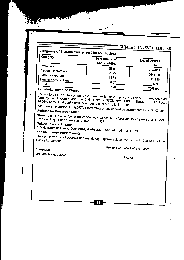#### Categories of Shareholders as on 31st March, 2012  $\sqrt{C_{\alpha}t}$

| <b>Category</b>                               |                               |               |
|-----------------------------------------------|-------------------------------|---------------|
|                                               | Percentage of<br>Shareholding | No. of Shares |
| Promoters                                     |                               | held          |
| Resident Individuals                          | 57.90                         | 4347919       |
| Bodies Corporate                              | 27.22                         | 2043900       |
|                                               | 14.81                         | 1111986       |
| Non Resident Indians                          | 0.07                          |               |
| Total                                         |                               | 6095          |
| Dematorialisation of $\overline{\phantom{a}}$ | 100                           | 7509900       |

### Dematerialisation of Shares:

The equity shares of the company are under the list of compulsory delivery in dematerialised form by all investors and the ISIN allotted by NSDL and CSDL is INE373D01017. About 96.96% of the total equity have been dematerialised upto 31.3.2012.

There were no outstanding GDR/ADR/Warrants or any convertible instruments as on 31.03.2012 Address for Correspondence:

Share related queries/correspondence may please be addressed to Registrars and Share Transfer Agents at address as above **OR** 

Gujarat Investa Limited,

3 & 4, Shivalik Plaza, Opp Atira, Ambawadi, Ahmedabad - 380 015 Non Mandatory Requirements:

The company has not adopted non mandatory requirements as mentioned in Clause 49 of the Listing Agreement.

11

For and on behalf of the Board,

Ahmedabad the 24th August, 2012

#### Director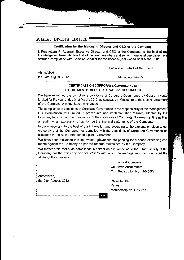#### Certification by the Managing Director and CEO of the Company

I, Purshottam R. Agarwal, Executive Director and CEO of the Company, to the best of my knowledge and belief, declare that all the board members and senior managerial personnel have affirmed compliance with Code of Conduct for the financial year ended 31st March, 2012.

For and on behalf of the Board,

Ahmedabad

the 24th August, 2012 Managing Director

#### GERTIFICATE ON CORPORATE GOVERNANCE: TO THE MEMBERS OF GUJARAT INVESTA LIMITED

We have examined the compliance conditions of Corporate Governance by Gujarat Investa Limited for the year ended 31st March, 2012, as stjpulated in Clause 49 of the Listing Agreeme of the Company with the Stock Exchanges.

The compliance of conditions of Corporate Governance is the responsibility of the Management. Our examination was limited to procedures and implementation thereof, adopted by the Company for ensuring the compliance of the conditions of Corporate Govemance. lt is neither an audit nor an expression of opinion on the financial statements of the Company.

ln our opinion and to the best of our information and according to the explanation given to us, we certify that the Company has complied with the conditions of Corporate Govemance as stipulated in the above mentioned Listing Agreement.

We have been explained that no investor grievances are pending for a period exceeding one month against the Company as per the records maintained by the Company.

We further state that such compliance is neither an assurance as to the future viability of the Company nor the efficiency or effectiveness with which the management has conducted the affairs of the Company.

> For Lunia & Company, Chartered Accountants, Fim Registration No. 116436W

**Partner** Membership No. F-12729

Ahmedabad, lhe 24th August, 2012 (R. C. Lunia),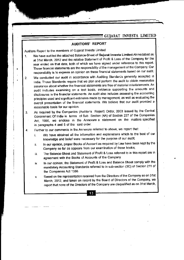#### **AUDITORS' REPORT**

Auditors Report to the members of Gujarat Investa Limited

- 1. We have audited the attached Balance-Sheet of Gujarat Investa Limited Ahmedabad as at 31st March, 2012 and the relative Statement of Profit & Loss of the Company for the year ended on that date, both of which we have signed under reference to this report These financial statements are the responsibility of the management of the Company. Our responsibility is to express an opinion on these financial statements based on our audit
- 2. we conducted our audit in accordance with Auditing Standards generally accepted in India. Those Standards require that we plan and perform the audit to obtain reasonable assurance about whether the financial statements are free of material misstatements An audit includes examining on a test basis, evidence supporting the amounts and disclosures in the financial statements An audit also includes assessing the accounting principles used and significant estimates made by management, as well as evaluating the overall presentation of the financial statements. We believe that our audit provided a reasonable basis for our opinion.
- 3. As required by the Companies (Auditor's Report) Order, 2003 issued by the central Government Of lndia in terms of Sub Section (4A) of Section 227 of the Companies Act, 1956, we enclose in the Annexure a statement on the matters specified in paragraphs 4 and 5 of the said order.
- 4. Further to our comments in the Annexure referred to above, we report that:
	- i. We have obtained all the information and explanations which to the best of our knowledge and belief were necessary for the purpose of our audit;
	- ii. ln our opinion, proper Books of Account as required by Law have been kept by the Company so far as appears from our examination of those books;
	- iii. The Balance-Sheet and Statement of Profit & Loss referred to in this reporl are in agreement with the Books of Accounts of the Company
	- iv. In our opinion, the Statement of Profit & Loss and Balance Sheet comply with the mandatory Accounting standards refered to in sub-section (3C) of Section 211 of the Companies Act 1956
	- v Based on the representation received from the Directors of the Company as on 31st March, 2012, and taken on record by the Board of Directors of the Company, we report that none of the Directors of the Company are disqualified as on 31st March,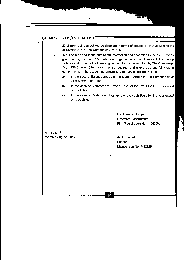2012 from being appointed as directors in terms of clause (g) of Sub-Section (1) of Section 274 of the Companies Act. 1956.

vi. In our opinion and to the best of our information and according to the explanations given to us, the said accounts read together with the Significant Accounting Policies and other notes thereon give the infomation required by The Companies Act, 1956 ('the Act') in the manner so required, and give a true and fair view in confomity with the accounting principles generally accepted in india:

- a) In the case of Balance Sheet, of the State of Affairs of the Company as at 31st March,2012 and
- b) ln the case of Slatement of Profit & Loss, of the Profit for the year ended on that date.
- c) In the case of Cash Flow Statement, of the cash flows for the year ended on that date.

14

For Lunia & Company, Chartered Accountants, Firm Registration No. 116436W

Ahmedabad, the 24th August, 2012 (R. C. Lunia),

Partner Membership No. F-12729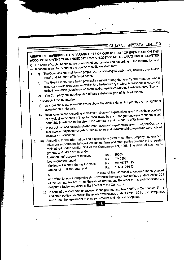## ANNEXURE REFERRED TO IN PARAGRAPH 3 OF OUR REPORT OF EVEN DATE ON THE ACCOUNTS FOR THE YEAR ENDED 31ST MARCH, 2012 OF M/S GUJARAT INVESTA LIMITED

On the basis of such checks as we considered appropriate and according to the information and explanations given to us during the course of audit, we state that:

- The Company has maintained proper records showing full particulars, including quantitative 1. a) detail and situation of its fixed assets.
	- The fixed assets have been physically verified during the year by the management in accordance with a program of verification, the frequency of which is reasonable. According b) to the information given to us, no material discrepancies were noticed on such verification.
	- The Company has not disposed off any substantial part of its fixed assets. C)
- In respect of the inventories:  $2.$

 $\hat{\mathbf{v}}$ 

3.

- as explained to us, inventories were physically verified during the year by the management a) at reasonable intervals.
- In our opinion and according to the information and explanations given to us, the procedure of physical verification of inventories followed by the management were reasonable and b) adequate in relation to the size of the Company and the nature of its business.
- In our opinion and according to the information and explanations given to us, the Company has maintained proper records of its inventories and no material discrepancies were noticed C) on physical verification.
- (a) According to the information and explanations given to us, the Company has granted/
- taken unsecured loans to/from Companies, firms and other parties covered in the register maintained under Section 301 of the Companies Act, 1956. The detail of such loans

granted and taken are as under: Loans taken/repayment received: Loans granted/repaid: Maximum Balance during the year:

Outstanding at the year end:

3060568  $Rs.$ 9740568 Rs. 104157371 Dr. Rs. 105317939 Dr. Rs.

In case of the aforesaid unsecured loans granted

and taken to/from Companies etc. covered in the register maintained under Section 301 of the Companies Act, 1956, the rate of interest and the other terms and conditions are not prima-facie prejudicial to the interest of the Company.

(c) In case of the aforesaid unsecured loans granted and taken to/from Companies, Firms and other parties covered in the register maintained under Section 301 of the Companies Act, 1956, the repayment of principal amount and interest is regular.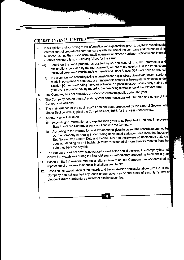- In our opinion and according to the information and explanations given to us, there are adequate internal control procedures commensurate with the size of the company and the nature of its 4. business. During the course of our audit, no major weakness has been noticed in the interna controls and there is no continuing failure for the same.
- Based on the audit procedures applied by us and according to the information and explanations provided by the management, we are of the opinion that the transactions  $5. (a)$ that need be entered into the register maintained under Section 301 have been so entered.
	- In our opinion and according to the information and explanations given to us, the transactions b) made in pursuance of contracts or arrangements entered in the register maintained under Section \$01 and exceeding the value of five lakh rupees in respect of any party during the year are reasonable having regard to the prevailing market price at the relevant time.
- The Company has not accepted any deposits from the public during the year. 6.
- The Company has an internal audit system commensurate with the size and nature of the 7. Company's business.
- The maintenance of the cost records has not been prescribed by the Central Government 8. Under Section 209 (1) (d) of the Companies Act, 1956, for the year under review.
- Statutory and other dues: 9.
	- According to information and explanations given to us Provident Fund and Employee's a) -State Insurance Scheme are not applicable to the Company.
	- According to the information and explanations given to us and the records examined by b) us, the company is regular in depositing undisputed statutory dues including Income-Tax, Sales-Tax, Custom Duty and Excise Duty and there were no undisputed statutory dues outstanding as on 31st March, 2012 for a period of more than six months from the date they became payable.
- The company does not have accumulated losses at the end of the year. The company has not  $10.$ incurred any cash loss during the financial year or immediately preceeding the financial year
- Based on the information and explanations given to us, the Company has not defaulted in  $11.$ repayment of any dues to financial institutions and banks.
- 12. Based on our examination of the records and the information and explanations given to us, the Company has not granted any loans and/or advances on the basis of security by way of pledge of shares, debentures and other similar securities.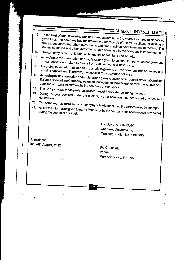- To the best of our knowledge and belief and according to the information and explanations  $13.$ given to us, the company has maintained proper records of the transactions for dealing in shares, securities and other investments and timely entries have been made therein. The shares, securities and other investments have been held by the company in its own name.
- 14. The company is not a chit fund, nidhi, mutual benefit fund or a society.
- 15. According to the information and explanations given to us, the Company has not given any guarantee for loans taken by others from bank or financial institutions.
- According to the information and explanations given to us, the company has not raised any 16. working capital loan. Therefore, the question of its use does not arise.
- 17. According to the information and explanations given to us and on an overall examination of the Balance Sheet of the Company, we report that no funds raised on short term basis have been used for long term investment by the company or vice-versa.
- 
- 18. The Company has made preferential allotment of Equity shares during the year. 19. During the year covered under the audit report the company has not issued any secured
- 
- 20. The company has not raised any money by public issue during the year covered by our report. 21. As per the information given to us, no fraud on or by the company has been noticed or reported

For LUNIA & COMPANY, Chartered Accountants, Firm Registration No. 116436W

Ahmedabad. the 24th August, 2012

(R. C. Lunia), Partner Membership No. F-12729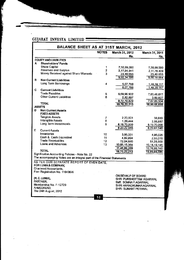| BALANCE SHEET AS AT 31ST MARCH, 2012 |                                                                                         |                |                |                 |  |
|--------------------------------------|-----------------------------------------------------------------------------------------|----------------|----------------|-----------------|--|
|                                      |                                                                                         | <b>NOTES</b>   | March 31, 2012 | March 31, 2011  |  |
|                                      |                                                                                         |                | Rs.            | Rs.             |  |
| <b>EQUITY AND LIABILITIES</b>        |                                                                                         |                |                |                 |  |
| А                                    | Shareholders' Funds                                                                     |                |                |                 |  |
| <b>Share Capital</b>                 |                                                                                         | 1              | 7,50,99,000    | 7,50,99,000     |  |
|                                      | <b>Reserves and Surplus</b>                                                             | $\overline{2}$ | 2.17.94.941    | 2,11,78,409     |  |
|                                      | Money Received against Share Warrants                                                   | 3              | 23,40,655      | 23,40,655       |  |
|                                      |                                                                                         |                | 9,92,34,596    | 9,86,18,064     |  |
| в                                    | <b>Non Current Liabilities</b>                                                          |                |                |                 |  |
|                                      | Long Term Borrowings                                                                    | 4              | 5,07,788       | 1,46,39,117     |  |
|                                      |                                                                                         |                | 5,07,788       | 1,46,39,117     |  |
| c                                    | <b>Current Liabilities</b>                                                              |                |                |                 |  |
| <b>Trade Payables</b>                |                                                                                         | 5.             | 9,69,96,932    | 7,63,48,677     |  |
|                                      | <b>Other Current Liabilities</b>                                                        | 6              | 2,82,897       | 3,60,827        |  |
|                                      |                                                                                         |                | 9,72,79,829    | 7,67,09,504     |  |
| <b>TOTAL</b>                         |                                                                                         |                | 19,70,22,213   | 18,99,66,685    |  |
| <b>ASSETS</b>                        |                                                                                         |                |                |                 |  |
| D                                    | <b>Non Current Assets</b>                                                               |                |                |                 |  |
| <b>FIXED ASSETS</b>                  |                                                                                         |                |                |                 |  |
| <b>Tangible Assets</b>               |                                                                                         | 7              | 2,23,501       | 38,653          |  |
|                                      | Intangible Assets                                                                       | 8              | 1,29,444       | 2,58,887        |  |
|                                      | Long Term Investments                                                                   | 9              | 8,19,70,000    | 8,19,70,000     |  |
|                                      |                                                                                         |                | 8,23,22,945    | 8,22,67,540     |  |
| Е<br><b>Current Assets</b>           |                                                                                         |                |                |                 |  |
| Inventories                          |                                                                                         | 10             | 3,95,331       | 4,96,025        |  |
|                                      | Cash & Cash Equivalent                                                                  | 11             | 4,82,894       | 2,55,016        |  |
|                                      | <b>Trade Receivables</b>                                                                | 12             | 72,04,680      | 51,28,959       |  |
|                                      | Loans and Advances                                                                      | 13             | 10,66,16,364   | 10, 18, 19, 145 |  |
|                                      |                                                                                         |                | 11,46,99,269   | 10,76,99,145    |  |
| <b>TOTAL</b>                         |                                                                                         |                | 19,70,22,213   | 18,99,66,685    |  |
|                                      | Signification Accounting Policies - Note No. 22<br>The coopmentss tistes are as issued: |                |                |                 |  |

The accompanying Notes are an integral part of the Financial Statements

 $\sim 10$ 

AS PER OUR SEPARATE REPORT OF EVEN DATE. FOR LUNIA & COMPANY,

Chartered Accountants, Firm Registration No. 116436W

(R.C.LUNIA), PARTNER. Membership No. F-12729 AHMEDABAD, The 24th August, 2012

ON BEHALF OF BOARD SHRI PURSHOTTAM AGARWAL SMT. SOMNA P. AGARWAL SHRI ANANDKUMAR AGARWAL SHRI SUMANT PERIWAL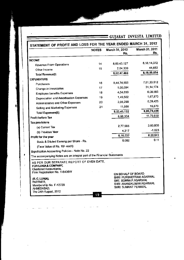GUJARAT INVESTA LIMITED STATEMENT OF PROFIT AND LOSS FOR THE YEAR ENDED MARCH 31, 2012 March 31, 2011 March 31, 2012 **NOTES** Rs. Rs. **INCOME** 8,18,14,372 8,60,43,127 14 **Revenue From Operations** 44,682 15 2,04,339 Other Income 8,18,59,054 8,62,47,466 **Total Revenue(I) EXPENDITURE** 7,61,33,512 8,44,74,908 16 Purchases 31, 14, 174 1,00,694  $17$ Change in Inventories 6,08,585 4,04,650 18 **Employee benefits Expenses** 1,67,870 19 1,49,502 Depreciation and Amortisation Expenses 6,39,425 2,08,290 20 Administrative and Other Expenses 15,870 11,088 21 Selling and Marketing Expenses 8,06,79,436 8,53,49,132 **Total Expenses(II)** 11,79,618 8,98,334 Profit before Tax **Tax provisions** 3,60,000 2,77,585 (a) Current Tax  $-1,023$ 4,217 (b) Previous Year 8,20,641 6,16,532 Profit for the year  $0.11$ 0.082 Basic & Diluted Earning per Share - Rs. (Face Value of Rs. 10/- each) Signification Accounting Policies - Note No. 22 The accompanying Notes are an integral part of the Financial Statements AS PER OUR SEPARATE REPORT OF EVEN DATE. FOR LUNIA & COMPANY, **Chartered Accountants,** Firm Registration No. 116436W ON BEHALF OF BOARD SHRI PURSHOTTAM AGARWAL (R.C.LUNIA), SMT. SOMNA P. AGARWAL PARTNER, SHRI ANANDKUMAR AGARWAL Membership No. F-12729 SHRI SUMANT PERIWAL AHMEDABAD,

ß

The 24th August, 2012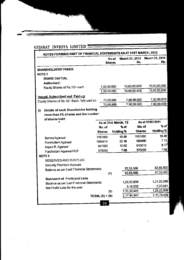| NOTES FORMING PART OF FINANCIAL STATEMENTS AS AT 31ST MARCH, 2012 | <b>Shares</b>                  | No of | March 31, 2012 | Rs.           | March 31, 2011<br>Rs.      |
|-------------------------------------------------------------------|--------------------------------|-------|----------------|---------------|----------------------------|
| <b>SHAREHOLDERS' FUNDS</b>                                        |                                |       |                |               |                            |
| NOTE <sub>1</sub>                                                 |                                |       |                |               |                            |
| SHARE CAPTIAL                                                     |                                |       |                |               |                            |
| Authorised:                                                       |                                |       |                |               |                            |
| Equity Shares of Rs. 10/- each                                    | 1,00,00,000                    |       |                | 10,00,00,000  | 10,00,00,000               |
|                                                                   | 1,00,00,000                    |       |                | 10,00,00,000  | 10,00,00,000               |
| <b>Issued, Subscribed and Paid-up</b>                             |                                |       |                |               |                            |
| Equity Shares of Rs 10/- Each, fully paid up                      | 75,09,900                      |       |                | 7,50,99,000   | 7,50,99,000<br>7,50,99,000 |
|                                                                   | 75,09,900                      |       |                | 7,50,99,000   |                            |
| Details of each Shareholder holding<br>(i)                        |                                |       |                |               |                            |
| more than 5% shares and the number                                |                                |       |                |               |                            |
| of shares held:                                                   |                                |       |                |               | As at 31/03/2011           |
|                                                                   | As at 31st March, 12<br>No. of |       | $%$ of         | No. of        | $%$ of                     |
|                                                                   | Shares                         |       | Holding %      | <b>Shares</b> | <b>Holding %</b>           |
|                                                                   | 1161000                        |       | 15.46          | 1161000       | 15.46                      |
| Somna Agarwal                                                     | 1664419                        |       | 22.16          | 580400        | 7.73                       |
| Purshottam Agarwal                                                | 947500                         |       | 12.62          | 613619        | 8.17                       |
| Anjani R. Agarwal<br>Purshottam Agarwal HUF                       | 575000                         |       | 7.66           | 575000        | 7.66                       |
| NOTE <sub>2</sub>                                                 |                                |       |                |               |                            |
| <b>RESERVES AND SURPLUS:</b>                                      |                                |       |                |               |                            |
| Security Premium Account                                          |                                |       |                |               |                            |
| <b>Balance as per Last Financial Statements</b>                   |                                |       |                | 82,55,500     | 82,55,500                  |
|                                                                   | (A)                            |       |                | 82,55,500     | 82,55,500                  |
| <b>Statement of Profit and Loss</b>                               |                                |       |                |               |                            |
| Balance as per Last Financial Statements                          |                                |       | 1,29,22,909    |               | 1,21,02,268                |
| Net Profit/ Loss for the year                                     |                                |       |                | 6,16,532      | 8,20,641                   |
|                                                                   | (B)                            |       | 1,35,39,441    |               | 1,29,22,909                |
|                                                                   | TOTAL $(A) + (B)$              |       | 2,17,94,941    |               | 2,11,78,409                |
|                                                                   | 20                             |       |                |               |                            |

 $\mathcal{A}$ 

 $\bar{z}$ 

 $\mathcal{L}_{\mathcal{A}}$ 

J.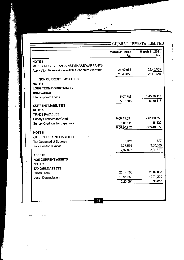| March 31, 2012<br>Rs. | <b>March 31, 2011</b><br>Rs. |
|-----------------------|------------------------------|
|                       |                              |
|                       |                              |
| 23,40,655             | 23,40,655                    |
| 23,40,655             | 23,40,655                    |
|                       |                              |
|                       |                              |
|                       |                              |
|                       |                              |
| 5,07,788              | 1,46,39,117                  |
| 5,07,788              | 1,46,39,117                  |
|                       |                              |
|                       |                              |
| 9,68,15,821           | 7,61,60,355                  |
| 1,81,111              | 1,88,322                     |
| 9,69,96,932           | 7,63,48,677                  |
|                       |                              |
|                       |                              |
| 5,312                 | 827                          |
| 2,77,585              | 3,60,000                     |
| 2,82,897              | 3,60,827                     |
|                       |                              |
|                       |                              |
|                       |                              |
|                       |                              |
| 22,14,760             | 20,09,853                    |
| 19,91,259             | 19,71,200                    |
| 2,23,501              | 38,653                       |
|                       |                              |

ã

ł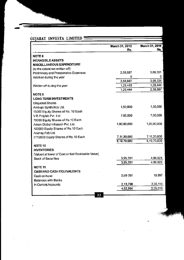| GUJARAT INVESTA LIMITED                           |                |                |
|---------------------------------------------------|----------------|----------------|
|                                                   | March 31, 2012 | March 31, 2011 |
|                                                   | Rs.            | Rs.            |
| NOTE <sub>8</sub>                                 |                |                |
| <b>INTANGIBLE ASSETS</b>                          |                |                |
| MISCELLANEOUS EXPENDITURE                         |                |                |
| (to the extent not written off)                   |                |                |
| Preliminery and Preoperative Expenses             | 2,58,887       | 3,88,331       |
| Addition during the year                          | 0              | 0              |
|                                                   | 2,58,887       | 3,88,331       |
| Written off during the year                       | 1,29,443       | 1,29,444       |
|                                                   | 1,29,444       | 2,58,887       |
| <b>NOTE 9</b>                                     |                |                |
| <b>LONG TERM INVESTMENTS</b>                      |                |                |
| <b>Unquoted Shares</b>                            |                |                |
| Ambuja Synthetics Ltd.                            | 1,50,000       | 1,50,000       |
| 15000 Equity Shares of Rs. 10 Each                |                |                |
| V.R.Polyfab Pvt. Ltd.                             | 7,00,000       | 7,00,000       |
| 70000 Equity Shares of Rs.10 Each                 |                |                |
| Aman Global Infratech Pvt. Ltd.                   | 1,00,00,000    | 1,00,00,000    |
| 100000 Equity Shares of Rs.10 Each                |                |                |
| Anunay Fab Ltd.                                   |                |                |
| 2712000 Equity Shares of Rs.10 Each               | 7,11,20,000    | 7,11,20,000    |
|                                                   | 8,19,70,000    | 8,19,70,000    |
| NOTE <sub>10</sub>                                |                |                |
| <b>INVENTORIES</b>                                |                |                |
| [Valued at lower of Cost or Net Realisable Value] |                |                |
| <b>Stock of Securities</b>                        | 3,95,331       | 4,96,025       |
|                                                   | 3,95,331       | 4,96,025       |
| <b>NOTE 11</b>                                    |                |                |
| CASH AND CASH EQUIVALENTS                         |                |                |
| Cash on hand                                      | 2,69.097       | 19,897         |
| <b>Balances with Banks</b>                        |                |                |
| In Current Accounts                               | 2,13,798       | 2,35,119       |
|                                                   | 4,82,894       | 2,55,016       |
| 22                                                |                |                |

 $\ddot{\phantom{a}}$ 

ł,

 $\bar{\beta}$ 

 $\bar{\gamma}$  $\ddot{\phantom{a}}$ 

l,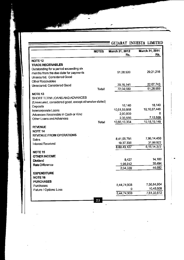Í

| <b>NOTES</b>                                          | March 31, 2012<br>Rs. | March 31, 2011<br>Rs. |
|-------------------------------------------------------|-----------------------|-----------------------|
| <b>NOTE 12</b>                                        |                       |                       |
| TRADE RECEIVABLES                                     |                       |                       |
| Outstanding for a period exceeding six                |                       |                       |
| months from the due date for payments                 | 51,28,539             | 29,21,216             |
| Unsecured, Considered Good                            |                       |                       |
| Other Receivables                                     |                       |                       |
| Unsecured, Considered Good                            | 20,76,141             | 22,07,743             |
| <b>Total</b>                                          | 72,04,680             | 51,28,959             |
| NOTE <sub>13</sub>                                    |                       |                       |
| SHORT TERM LOANS AND ADVANCES                         |                       |                       |
| (Unsecured, considered good, except otherwise stated) |                       |                       |
| Deposits                                              | 18,140                | 18,140                |
| Intercorporate Loans                                  | 10,61,59,668          | 10,10,87,446<br>o     |
| Advances Receivable in Cash or Kind                   | 2,00,000              | 7,13,559              |
| Other Loans and Advances                              | 2,38,556              | 10,18,19,145          |
| Total                                                 | 10,66,16,364          |                       |
| <b>REVENUE</b>                                        |                       |                       |
| <b>NOTE 14</b>                                        |                       |                       |
| <b>REVENUE FROM OPERATIONS</b>                        | 8,41,05,791           | 7,86,14,450           |
| Sales                                                 | 19,37,336             | 31,99,922             |
| Interest Received                                     | 8,60,43,127           | 8, 18, 14, 372        |
|                                                       |                       |                       |
| NOTE <sub>15</sub>                                    |                       |                       |
| <b>OTHER INCOME</b>                                   | 8,427                 | 14,188                |
| Dividend<br><b>Rate Difference</b>                    | 1,95,912              | 30,494                |
|                                                       | 2,04,339              | 44,682                |
| <b>EXPENDITURE</b>                                    |                       |                       |
| NOTE <sub>16</sub>                                    |                       |                       |
| <b>PURCHASES</b>                                      |                       |                       |
| <b>Purchases</b>                                      | 8,44,74,908           | 7,50,84,904           |
| <b>Future / Options Loss</b>                          | ۵                     | 10,48,608             |
|                                                       | 8,44,74,908           | 7,61,33,512           |
|                                                       |                       |                       |
| 23                                                    |                       |                       |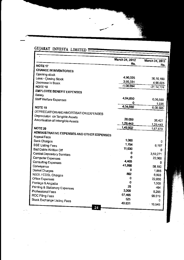|                                            | March 31, 2012<br>Rs. | March 31, 2011 |
|--------------------------------------------|-----------------------|----------------|
| NOTE <sub>17</sub>                         |                       | Rs.            |
| <b>CHANGE IN INVENTORIES</b>               |                       |                |
| Opening stock                              |                       |                |
| Less:- Closing Stock                       | 4,96,025              | 36,10,199      |
| Decrease in Stock                          | 3,95,331              | 4,96,025       |
| NOTE <sub>18</sub>                         | $-1,00,694$           | $-31, 14, 174$ |
| <b>EMPLOYEE BENEFIT EXPENSES</b>           |                       |                |
| Salary                                     |                       |                |
| Staff Welfare Expenses                     | 4,04,650              | 6,06,650       |
|                                            |                       | 1,935          |
| NOTE <sub>19</sub>                         | 4,04,650              | 6,08,585       |
| DEPRECIATION AND AMORTISATION EXPENSES     |                       |                |
| Depreciaton on Tangible Assets             |                       |                |
| Amortisation of Intangible Assets          | 20,059                | 38,427         |
|                                            | 1,29,443              | 1,29,443       |
| NOTE <sub>20</sub>                         | 1,49,502              | 1,67,870       |
| ADMINISTRATIVE EXPENSES AND OTHER EXPENSES |                       |                |
| <b>Appeal Fees</b>                         |                       |                |
| <b>Bank Charges</b>                        | 1,000                 | 0              |
| <b>BSE Listing Fees</b>                    | 1,754<br>11,030       | 6,197          |
| Bad Debts Written Off                      |                       | 0              |
| Central Depository Services                | 0                     | 3,59,271       |
| Computer Expenses                          | 0                     | 22,060         |
| <b>Consulting Expenses</b>                 | 4,465<br>41,896       | Đ              |
| Conveyance                                 |                       | 58,150         |
| Demat Charges                              | 0<br>802              | 1,885          |
| NSDL / CDSL Charges                        |                       | 6,993          |
| Office Expenses                            | 0                     | 22,060         |
| Postage & Angadia                          | 0                     | 1,000          |
| Printing & Stationery Expenses             | 25                    | 464            |
| Professional Fees                          | 3,000                 | 5,256          |
| ROC Filing Fees                            | 67,465                | 99,519         |
| Stock Exchange Listing Fees                | 525                   | 0              |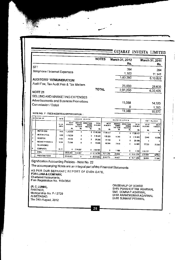|                                        | <b>NOTES</b> | March 31, 2012 | March 31, 2011 |
|----------------------------------------|--------------|----------------|----------------|
|                                        |              | Rs.            | Rs.            |
| STT                                    |              |                |                |
| Telephone / Internet Expenses          |              | 394            | 284            |
|                                        |              | 1,103          | 11,141         |
| <b>AUDITORS 'REMUNERATION</b>          |              | 1,83,290       | 6,10,825       |
|                                        |              |                |                |
| Audit Fee, Tax Audit Fee & Tax Matters |              | 25,000         | 28,600         |
| <b>NOTE 21</b>                         | <b>TOTAL</b> | 2,08,290       | 6,39,425       |
|                                        |              |                |                |
| SELLING AND MARKETING EXPENSES         |              |                |                |
| Advertisements and Business Promotions |              | 11,088         |                |
| Commission / Dalali                    |              |                | 14,520         |
|                                        |              | Ω              | 1,350          |
| NOTE NO. 7. ENCHARGE-ALL               |              | 11,088         | 15,870         |

NOTE NO. 7 - FIXED ASSETS & DEPRECIATION :

|                | 'SR. DETAIL OF             |                       |                           |                           |                                                                |                            |                            |                                              |                                         |                     |                     |                       |
|----------------|----------------------------|-----------------------|---------------------------|---------------------------|----------------------------------------------------------------|----------------------------|----------------------------|----------------------------------------------|-----------------------------------------|---------------------|---------------------|-----------------------|
|                |                            | <b>RATE</b>           |                           |                           | GROSS BLOCK                                                    |                            |                            |                                              | <b>DEPRECIATION</b>                     |                     |                     | NET BLOCK             |
|                |                            | <b>S.L.M.</b><br>(NN) | AS AT<br>01.04.2011<br>Æ. | DURING<br>THE YEAR<br>RS. | <b>ADDITION DEDUCTIONS</b><br>DURING<br><b>THE YEAR</b><br>RS. | TOTAL<br>31.03.2412<br>RS. | AS AT<br>91.04.2011<br>RS. | <b>ADDITION</b><br><b>DURING</b><br>THE YEAR | <b>DEDUCTIONS</b><br>DURING<br>THE YEAR | TOTAL<br>11.03.2012 | AS AT<br>31.03.2012 | AU AT I<br>31.03.2011 |
| $\blacksquare$ | MOTOR CAR                  | 9.50                  | 17,88,438                 |                           |                                                                |                            |                            | RS.                                          | М.                                      | RS.                 | RS.                 | RS.                   |
| 12             |                            |                       |                           | 0                         |                                                                | $0$ 17.88.438              | 17.88.437                  | n                                            |                                         | 0 17,88.437         |                     |                       |
|                | <b>MOTOR CYCLE</b>         | 9.50                  | 1.18.529                  | 0                         | 0                                                              | 1.18.529                   | 1.05.221                   | 11.260                                       | ۰                                       |                     |                     |                       |
| Iз             | <b>SCOOTER</b>             | 9.50                  | 29.200                    | 0                         | 0                                                              | 29,200                     |                            |                                              |                                         | 1.16.481            | 2.048               | 13,308                |
| 14.            | <b>MOBILE PHONES &amp;</b> |                       |                           |                           |                                                                |                            | 29,199                     | D                                            | ٥                                       | 29.199              |                     |                       |
|                |                            | 10.34                 | 73.686                    | 0                         | 0                                                              | 73.686                     | 48.344                     | 7.619                                        | 0                                       | 55.963              | 17.723              | 25.342                |
|                | <b>TELEPHONES</b>          |                       |                           |                           |                                                                |                            |                            |                                              |                                         |                     |                     |                       |
| 5              | <b>COMPUTER</b>            | 1621                  | 0                         | 2.04.907                  | 0                                                              | 2.04.907                   |                            |                                              |                                         |                     |                     |                       |
|                | <b>TOTAL</b>               |                       |                           |                           |                                                                |                            | o                          | 1.180                                        | 0                                       | 1,180               | 2.03.727            |                       |
|                |                            |                       | 20,09,853                 | 2.04.907                  |                                                                | 0.22.14.760                | 19.71.200                  | 20.059                                       |                                         | 0 19.91.259         | 2.23.501            | 38,653                |
|                | <b>PREVIOUS YEAR</b>       |                       | 20.09.853                 | ۰                         |                                                                | 0, 20, 09.853              | 19.32.773                  | 38.427                                       |                                         |                     |                     |                       |
|                |                            |                       |                           |                           |                                                                |                            |                            |                                              |                                         | $0$ 19.71,200       | 38.653              | 77.080 F              |

Signification Accounting Policies - Note No. 22

The accompanying Notes are an integral part of the Financial Statements

AS PER OUR SEPARATE REPORT OF EVEN DATE, FOR LUNIA & COMPANY,

Chartered Accountants,

Firm Registration No. 116436W

(R.C.LUNIA), PARTNER.

Membership No. F-12729 AHMEDABAD, The 24th August, 2012

ON BEHALF OF BOARD SHRI PURSHOTTAM AGARWAL SMT. SOMNA P. AGARWAL SHRI ANANDKUMAR AGARWAL SHRI SUMANT PERIWAL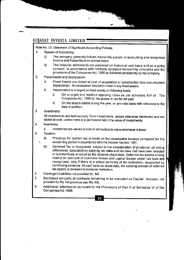Note No. 22: Statement of Significant Accounting Policies

- 1. System of Accounting -
	- (i) The company generally follows mercantile system of accounting and recognises Income and Expenditure on accrual basis.
	- ii) The financial statements are prepared on historical cost basis and as a going concem, in accordance with normally accepted Accounting principles and the provisions of the Companies Act, 1956 as followed consistently by the company.
- 2. Fixed Assets and Depreciation
	- A. Fixed Assets are stated at cost of acquisition or construction less accumulated depreciation. No revaluation has been made in any fixed assets.
	- B. Depreciation is charged on fixed assetson following basis:
		- i) On straight line method applying rates as per schedule XIV of The Companies Act, 1956 for the assets in use for full year.
		- ii) On the assets added during the year, on pro-rata basis with reference to the date of addition.
- $3.$ **investments**

All investments are held as Long Term lnvestments. unless otherwjse mentioned and are stated at cost, unless there is a permanent fall in the value of investments.

lnventories 4.

i) lnventories are valued at cost or net realizable value whichever is lower.

5. Taxation:

> (i) Provision for current tax is made on the assessable income computed for the accounting period in accordance with the Income Tax Act, 1961.

- (ii) Deferred Tax is recognised, subject to the consideration of prudence, on timing differences, calculated by applying tax rates and tax laws that have been enacted or substantively enacted by the balance sheet date\_ Defered tax assets arising mainly on account of business losses and capital losses under tax laws are recognised, only if there is a virtual certainty of its reatisation, supported by convincing evidence. At each balance sheet date, the carrying amount of deferred tax assets is reviewed to reassure realisation.
- Contingent Liabilities not provided for: Nil 6.
- Estimated amounts of contracts remaining to be executed on Capital Account, not provided for Rs. Nil (previous year Rs. Nil). 7.
- Additional information pursuant to the Provisions of Part II of Schedule VI of the Companies Act, 1956: 8.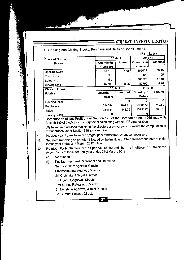|                       |                                               |         | (Rs in Lacs)   |         |  |  |
|-----------------------|-----------------------------------------------|---------|----------------|---------|--|--|
| <b>Class of Goods</b> |                                               | 2011-12 |                | 2010-11 |  |  |
|                       | Amount<br><b>Quantity in</b><br><b>Shares</b> |         | Quantity in    | Amount  |  |  |
|                       | <b>Numbers</b>                                |         | <b>Numbers</b> |         |  |  |
| <b>Opening Stock</b>  | 87700                                         | 4.96    | 392023         | 36.10   |  |  |
| Purchases             | <b>NIL</b>                                    |         | 2400           | 1.05    |  |  |
| Sales NIL             | <b>NIL</b>                                    |         | 306723         | 47.40   |  |  |
| Closing Stock         | 87700                                         | 3.95    | 87700          | 4.96    |  |  |
| <b>Class of Goods</b> | 2011-12                                       |         | 2010-11        |         |  |  |
| Fabrics               | Quantity in                                   | Amount  | Quantity in    | Amount  |  |  |
|                       | <b>Meters</b>                                 |         | Meters         |         |  |  |
| <b>Opening Stock</b>  | $\Omega$                                      | O       | o              |         |  |  |
| Purchases             | 1314644                                       | 844.75  | 1323172        | 749.80  |  |  |
| Sales                 | 1314644                                       | 841.06  | 1323172        | 738.75  |  |  |
| Closing Stock         | o                                             |         |                |         |  |  |

Section 349 of the Act for the purpose of calculating Directors' Remuneration We have been advised that since the directors are not paid any salary, the computation of

remuneration under Section 349 is not required

- Previous year figures have been regrouped/ rearranged, whenever necessary. 10.
- ' Seqment Reporting as perAS-17 issued by the Institute of CharteredAccountants of lndia' for the year ended 31st March, 2012 - N.A. 11.
- Related Party Disclosures as per AS-18 issued by the Institute of Chartered  $12.$ Accountants of India, for the year ended 31st March, 2012.
	- (A) RelationshiP
	- (i) Key Management Personnel and Relatives
		- Sri Purshottam Agarwal, Director
			- Sri Anandkumat Agarwal, Director
			- Sri Krishnakant Goyal, Director
			- Sri Anjani R, Agarwal, Director
			- Smt Somna P. Agarwal, Director
			- Smi.AnshuA.Agarwal, Wife of Director
			- Sri Sumant Periwal, Director '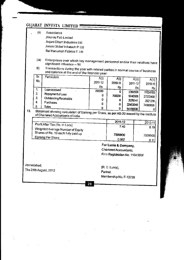|     |                      | GUJARAT INVESTA LIMITED .                                                                                                      |                                                                                                                                 |                        |                                                                                 |                     |           |                            |
|-----|----------------------|--------------------------------------------------------------------------------------------------------------------------------|---------------------------------------------------------------------------------------------------------------------------------|------------------------|---------------------------------------------------------------------------------|---------------------|-----------|----------------------------|
|     | (ii)                 | Associates<br>Anunay Fab Limited                                                                                               | Anjani Dham Industries Ltd.<br>Aman Global Infratech P. Ltd<br>Bal Hanuman Fabrics P. Ltd                                       |                        |                                                                                 |                     |           |                            |
|     | (iii)                | significant influence - Nil                                                                                                    | Enterprises over which key management personnel and/or their relatives have                                                     |                        |                                                                                 |                     |           |                            |
|     | B)                   |                                                                                                                                | Transactions during the year with related parties in normal course of business<br>and balance at the end of the financial year: |                        |                                                                                 |                     |           |                            |
|     | Sr.<br>No.           | <b>Particulars</b>                                                                                                             |                                                                                                                                 | A(i)<br>2011-12<br>Rs. | A(i)<br>2010-11                                                                 | 2011-12             | A(i)      | A(ii)<br>2010-11           |
|     | 1.<br>$\overline{2}$ | Loan received<br>Repayment of Loan                                                                                             |                                                                                                                                 | 700000<br>0            | Rs<br>O<br>700000                                                               | 2360568<br>9740568  | <b>Rs</b> | Rs<br>11624793<br>27272468 |
|     | 3.<br>4.<br>5.       | Outstanding Receivable<br>Purchases<br>Sales                                                                                   |                                                                                                                                 | 0<br>0                 | 0<br>0                                                                          | 2076141<br>22453045 |           | 2921216<br>74980095        |
| 13. |                      | Statement showing calculation of Earning per Share, as per AS-20 issued by the Institute<br>of Chartered Accountants of India. |                                                                                                                                 | o                      | 0.                                                                              | 64168538            |           | 0                          |
|     |                      | Profit After Tax (Rs. In Lacs)                                                                                                 |                                                                                                                                 |                        | 2011-12                                                                         |                     |           | 2010-11                    |
|     |                      | Weighted Average Number of Equity<br>Shares of Rs. 10 each fully paid up                                                       |                                                                                                                                 |                        | 7.40<br>7509900                                                                 |                     |           | 8.19<br>7509900            |
|     |                      | Earning Per Share                                                                                                              |                                                                                                                                 |                        | 0.082                                                                           |                     |           | 0.11                       |
|     |                      |                                                                                                                                |                                                                                                                                 |                        | For Lunia & Company,<br>Chartered Accountants,<br>Firm Registration No. 116436W |                     |           |                            |
|     | Ahmedabad.           | The 24th August, 2012                                                                                                          |                                                                                                                                 | Partner                | (R. C. Lunia).<br>Membership No. F-12729                                        |                     |           |                            |
|     |                      |                                                                                                                                |                                                                                                                                 |                        |                                                                                 |                     |           |                            |

28

 $\label{eq:2.1} \frac{1}{\sqrt{2\pi}}\int_{\mathbb{R}^3}\frac{1}{\sqrt{2\pi}}\int_{\mathbb{R}^3}\frac{1}{\sqrt{2\pi}}\int_{\mathbb{R}^3}\frac{1}{\sqrt{2\pi}}\int_{\mathbb{R}^3}\frac{1}{\sqrt{2\pi}}\int_{\mathbb{R}^3}\frac{1}{\sqrt{2\pi}}\int_{\mathbb{R}^3}\frac{1}{\sqrt{2\pi}}\int_{\mathbb{R}^3}\frac{1}{\sqrt{2\pi}}\int_{\mathbb{R}^3}\frac{1}{\sqrt{2\pi}}\int_{\mathbb{R}^3}\frac{1$ 

 $\hat{\mathcal{A}}$ 

 $\ddot{\phantom{0}}$ 

 $\sim 10^{-10}$ 

 $\mathcal{L}^{\text{max}}_{\text{max}}$ 

 $\mathcal{L}^{\text{max}}_{\text{max}}$ 

 $\bar{\beta}$ 

 $\frac{1}{2}$ 

 $\mathcal{L}_{\text{max}}$  , and  $\mathcal{L}_{\text{max}}$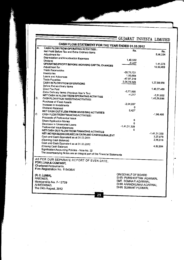|                                                                                                                  | - GUJARAT INVESTA LIMITED |                 |
|------------------------------------------------------------------------------------------------------------------|---------------------------|-----------------|
| CASH FLOW STATEMENT FOR THE YEAR ENDED 31.03.2012                                                                |                           |                 |
| <b>CASH FLOW FROM OPERATING ACTIVITIES:</b><br>Net Profit Before Tax and Extra Ordinary Items<br>Adjustment for: | Rs.                       | Rs.<br>8,98,334 |
| Depreciation and Amortisation Expenses                                                                           | 1.40.502                  |                 |

|                                         | Depreciation and Amortisation Expenses                                  |              |                |
|-----------------------------------------|-------------------------------------------------------------------------|--------------|----------------|
|                                         | Dividend                                                                | 1,49,502     |                |
|                                         | OPERATING PROFIT BEFORE WORKING CAPITAL CHANGES                         | $-8,427$     | 1.41.075       |
|                                         | Adjustment for:                                                         |              | 10,39,409      |
|                                         | <b>Trade Receivables</b>                                                |              |                |
|                                         | Inventories                                                             | $-20,75,721$ |                |
|                                         | Loans and Advances                                                      | 1,00,694     |                |
|                                         | Trade Payables                                                          | -47,97,219   |                |
|                                         | CASH IN FLOW FROM OPERATIONS                                            | 2,05,70,325  | 1,37,98,080    |
|                                         | Before Extraordinary Items                                              |              |                |
|                                         | Direct Tax Paid                                                         |              | 1,48,37,489    |
|                                         | Extra Ordinary Items (Previous Year's Tax)                              | $-2,77,585$  |                |
|                                         | NET CASH IN FLOW FROM OPERATING ACTIVITIES                              | $-4,217$     | $-2,81,802$    |
| В.                                      | CASH FLOW FROM INVESTING ACTIVITIES:                                    |              | 1,45,55,686    |
|                                         | <b>Purchase of Fixed Assets</b>                                         |              |                |
|                                         | Increase in Investments                                                 | $-2,04,907$  |                |
|                                         | Dividend Received                                                       | 0            |                |
|                                         | NET CASH OUT FLOW FROM INVESTING ACTIVITIES                             | 8,427        |                |
| c.                                      | CASH FLOW FROM FINANCING ACTIVITIES:                                    |              | $-1,96,480$    |
|                                         | Proceeds of Preferential Issue                                          |              |                |
|                                         | Share Application Money                                                 | o            |                |
|                                         | Decrease in Unsecured Loans                                             | o            |                |
|                                         | Preferential Issue Expenses                                             | -1,41,31,329 |                |
|                                         | NET CASH OUT FLOW FROM FINANCING ACTIVITIES                             | n            |                |
|                                         | NET INCREASE/(DECREASE) IN CASH AND CASH EQUIVALENT                     |              | $-1,41,31,329$ |
|                                         | Cash and Cash Equivalent as at 31.03.2011                               |              | 2,27,878       |
|                                         | (Opening Cash Balance)                                                  |              | 2,55,016       |
|                                         | Cash and Cash Equivalent as at 31.03.2012                               |              |                |
|                                         | (Closing Cash Balance)                                                  |              | 4.82,894       |
|                                         | Signification Accounting Policies - Note No. 22                         |              |                |
|                                         | The accompanying Notes are an integral part of the Financial Statements |              |                |
|                                         |                                                                         |              |                |
| AS PER OUR SEPARATE REPORT OF EVEN DATE |                                                                         |              |                |

FOR LUNIA & COMPANY. Chartered Accountants,<br>Firm Registration No. 116436W

(R.C. LUNIA), PARTNER, Membership No. F-12729 AHMEDABAD, The 24th August, 2012

A.

Ď.

ON BEHALF OF BOARD SHRI PURSHOTTAM AGARWAL SMT. SOMNA P. AGARWAL SHRI ANANDKUMAR AGARWAL<br>SHRI SUMANT PERIWAL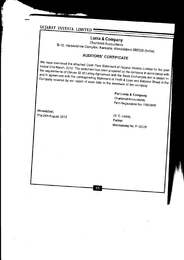## Lunia & Company

Chartered Accountants B-12, Harekrishna Complex, Kankaria, Ahmedabad-380028 (India),

# **AUDITORS' CERTIFICATE**

We have examined the attached Cash Flow Statement of Gujarat Investa Limited for the year ended 31st March, 2012. The statement has been prepared by the company in accordance with the requirements of Clause 32 of Listing Agreement with the Stock Exchanges and is based on and in agreement with the corresponding Statement of Profit & Loss and Balance Sheet of the Company covered by our report of even date to the members of the company.

> For Lunia & Company, Chartered Accountants, Firm Registration No. 116436W

Ahmedabad, The 24th August, 2012

 $(R, C, Luni)$ , Partner. Membership No. F-12729